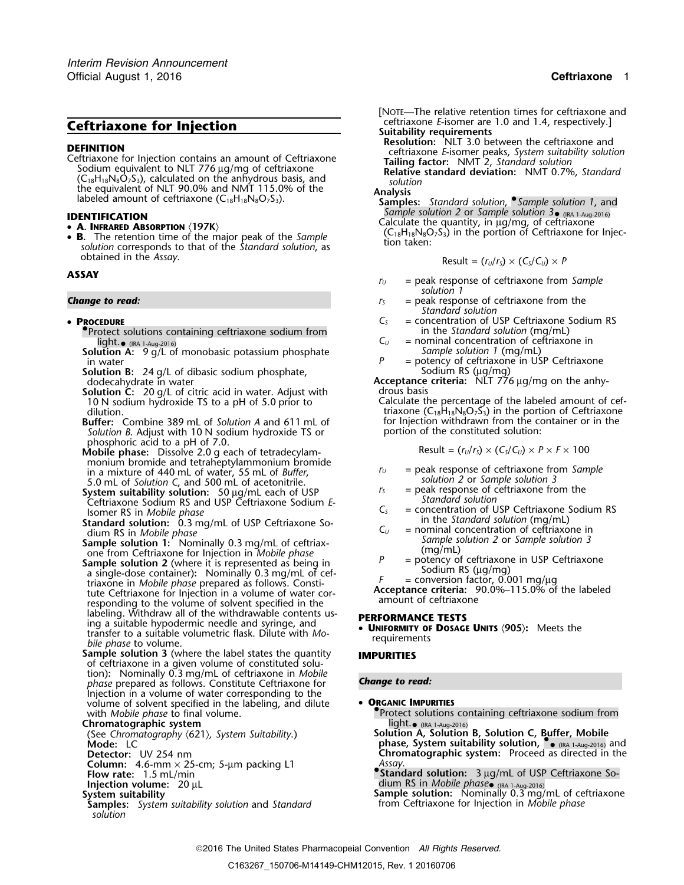**DEFINITION**<br>
Ceftriaxone for Injection contains an amount of Ceftriaxone<br>
Ceftriaxone *E*-isomer peaks, *System suitability solution*<br>
Sodium equivalent to NLT 776 µg/mg of ceftriaxone<br>
(C<sub>18</sub>H<sub>18</sub>N<sub>8</sub>O<sub>7</sub>S<sub>3</sub>), calculate

- 
- **B.** The retention time of the major peak of the *Sample* solution corresponds to that of the *Standard solution*, as obtained in the *Assay*.

## **ASSAY**

## • PROCEDURE

- •Protect solutions containing ceftriaxone sodium from in the *Standard solution* (mg/mL)
- in water  $\frac{3}{2}$ ,  $\frac{3}{2}$  in water  $\frac{3}{2}$  in water
- **Solution B:** 24 g/L of dibasic sodium phosphate, dodution B: 24 g/L of dibasic sodium phosphate,<br>dodecahydrate in water **Acceptance criteria:** NLT 776 μg/mg on the anhy-<br>**Solution C:** 20 g/L of citric acid in water. Adiust with drous basis
- **Solution C:** 20 g/L of citric acid in water. Adjust with 10 N sodium hydroxide TS to a pH of 5.0 prior to
- Buffer: Combine 389 mL of Solution A and 611 mL of *Solution B.* Adjust with 10 N sodium hydroxide TS or portion of the constituted solution:
- phosphoric acid to a pH of 7.0.<br>**Mobile phase:** Dissolve 2.0 g each of tetradecylam- Result = (*r<sub>U</sub>/r<sub>S</sub>) × (C<sub>S</sub>/C<sub>U</sub>) × <i>P* × *F* × 100 monium bromide and tetraheptylammonium bromide<br>
in a mixture of 440 mL of water, 55 mL of *Buffer*,<br>
5.0 mL of *Solution C*, and 500 mL of acetonitrile.<br> **System suitability solution:** 50 µg/mL each of USP<br>
Ceftriaxone So
- 
- 
- 
- Example solution: 0.3 mg/mL of USP Ceftriaxone Solution: 0.3 mg/mL of USP Ceftriaxone Solution: 0.3 mg/mL of USP Ceftriaxone Solution: 0.3 mg/mL of C<sub>U</sub> = concentration of USP Ceftriaxone in Sample solution 1: Nominally 0 labeling. Withdraw all of the withdrawable contents us-<br>ing a suitable hypodermic needle and syringe, and • **UNIFORMANCE TESTS**<br>transfer to a suitable valumetric flack. Dilyte with  $M_2$  • **UNIFORMITY OF DOSAGE UNITS** (905 **URIFORMITY UNIFORMITY OF** DIRECT **DEPARTMENT DEPARTMENT C** *bile phase* **to volume.** *Phase to volume. Phase to volume. Phase to volume. Phase solume. Phase solume. Phase solume. Phase s*
- **Sample solution 3** (where the label states the quantity **IMPURITIES** of ceftriaxone in a given volume of constituted solution)**:** Nominally 0.3 mg/mL of ceftriaxone in *Mobile phase* prepared as follows. Constitute Ceftriaxone for **Change to read:** Injection in a volume of water corresponding to the volume of solvent specified in the labeling, and dilute **• ORGANIC IMPURITIES**<br>with *Mobile phase* to final volume.

# **Chromatographic system**<br>(See Chromatography (621), System Suitability.)

- 
- 
- **Column:** 4.6-mm × 25-cm; 5-µm packing L1 *Assay*.
- 
- 
- *solution*
- *.* [NOTE—The relative retention times for ceftriaxone and **Ceftriaxone for Injection**<br> **Ceftriaxone** *E***-isomer are 1.0 and 1.4, respectively.]<br>
Resolution: NLT 3.0 between the ceftriaxone and<br>
Resolution: NLT 3.0 between the ceftriaxone and** 
	-

- *Sample solution 2* or *Sample solution 3*• (IRA 1-Aug-2016) **IDENTIFICATION** Calculate the quantity, in µg/mg, of ceftriaxone •
	- $(C_{18}H_{18}N_8O_7S_3)$  in the portion of Ceftriaxone for Injection taken:

$$
Result = (r_U/r_S) \times (C_S/C_U) \times P
$$

- *<sup>r</sup><sup>U</sup>* = peak response of ceftriaxone from *Sample solution 1*
- **Change to read:** *r***<sub>S</sub>** = peak response of ceftriaxone from the *Standard solution*
	- $C<sub>S</sub>$  = concentration of USP Ceftriaxone Sodium RS<br>in the Standard solution (mg/mL)
	- light. **•** (IRA 1-Aug-2016)<br> **Solution A:** 9 g/L of monobasic potassium phosphate *Sample solution 1* (mg/mL)
		-
		-
	- Calculate the percentage of the labeled amount of cefdilution.<br>**Suffer:** Combine 389 mL of *Solution A* and 611 mL of the portion withdrawn from the container or in the container or in the

$$
Result = (r_U/r_S) \times (C_S/C_U) \times P \times F \times 100
$$

- 
- 
- 
- 
- 
- 

**Protect solutions containing ceftriaxone sodium from**<br>light. • (IRA 1-Aug-2016)

Solution A, Solution B, Solution C, Buffer, Mobile) (See Chromatography (621), System Suitability.)<br>Mode: LC (الجمعة, phase, System suitability solution, ۱٫۵۰۰٬۰۰۵٬۰۵۰٬۰۵۰٬۰۰۰٬۰۰۵٬۰۰۵٬۰۰ **Detector:** UV 254 nm **Chromatographic system:** Proceed as directed in the

**Flow rate:** 1.5 mL/min **•.Standard solution:**<sup>3</sup> <sup>µ</sup>g/mL of USP Ceftriaxone So-**Injection volume:** 20 µL dium RS in *Mobile phase*• (IRA 1-Aug-2016)

**System suitability Sample solution:** Nominally 0.3 mg/mL of ceftriaxone **Samples:** *System suitability solution* and *Standard* from Ceftriaxone for Injection in *Mobile phase*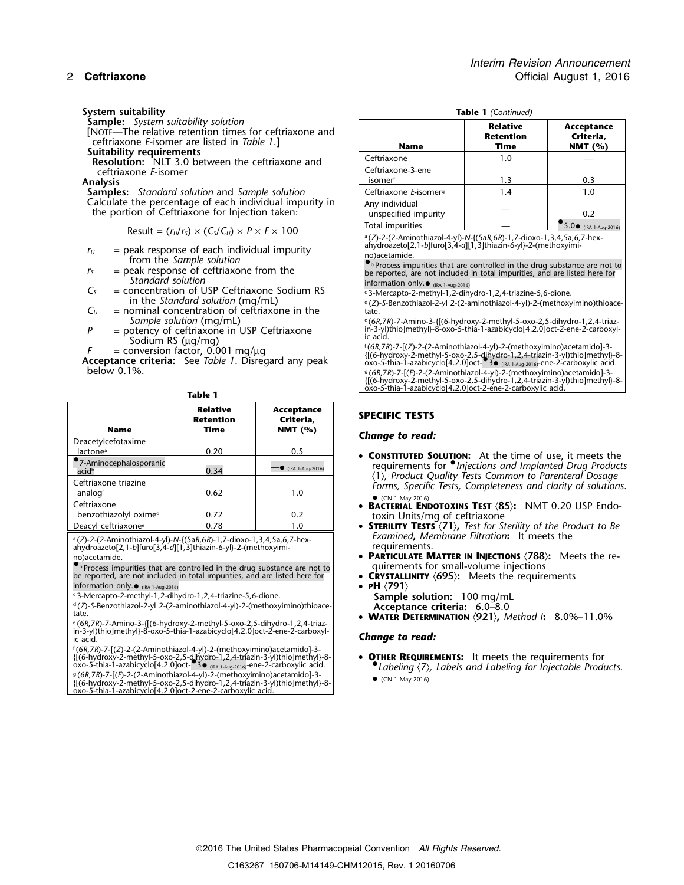- 
- **Resolution:** NLT 3.0 between the ceftriaxone and ceftriaxone E-isomer

 $Result = (r<sub>U</sub>/r<sub>S</sub>) \times (C<sub>S</sub>/C<sub>U</sub>) \times P \times F \times 100$ 

- $r_U$  = peak response of each individual impurity  $r_S$  = peak response of ceftriaxone from the  $r_S$  = peak response of ceftriaxone from the
- 
- *Standard solution*<br>
Standard solution of USP Ceftriaxone Sodium RS<br>
<sup>1</sup> S-Mercapto-2-methyl-1,2-dihydro-1,2,4-triazine-5,6-dione.  $C<sub>S</sub>$  = concentration of USP Ceftriaxone Sodium RS
- 
- = potency of ceftriaxone in USP Ceftriaxone<br>Sodium RS (µg/mg) ficacid.<br>= conversion factor, 0.001 mg/µg f(6,7*ng*)
	-

**Acceptance criteria:** See *Table 1*. Disregard any peak below 0.1%.

| <b>Name</b>                                 | Relative<br><b>Retention</b><br>Time | Acceptance<br>Criteria.<br>NMT $(%)$ |  |
|---------------------------------------------|--------------------------------------|--------------------------------------|--|
| Deacetylcefotaxime                          |                                      |                                      |  |
| lactone <sup>a</sup>                        | 0.20                                 | 0.5                                  |  |
| 7-Aminocephalosporanic<br>acid <sup>b</sup> | 0.34                                 | $-$ (IRA 1-Aug-2016)                 |  |
| Ceftriaxone triazine<br>analoge             | 0.62                                 | 1.0                                  |  |
| Ceftriaxone                                 |                                      |                                      |  |
| benzothiazolyl oximed                       | 0.72                                 | 0.2                                  |  |
| Deacyl ceftriaxone <sup>e</sup>             | 0.78                                 | 1.0                                  |  |

ahydroazeto[2,1-*b*]furo[3,4-*d*][1,3]thiazin-6-yl}-2-(methoxyimi- requirements.<br>https://www.community.community.community.community.community.community.community.community.community.community.<br>**PARTICULATE N** 

 $\bullet$  Process impurities that are controlled in the drug substance are not to  $|$  quirements for small-volume injections be reported, are not included in total impurities, and are listed here for • **CRYSTALLINITY** 〈**695**〉**:** Meets the requirements information only. $\bullet$   $_{\text{IRA 1-Aug-2016)}}$   $\bullet$  **PH**  $\langle 791 \rangle$ 

d .(*Z*)-*S*-Benzothiazol-2-yl 2-(2-aminothiazol-4-yl)-2-(methoxyimino)thioace- **Acceptance criteria:** 6.0–8.0 tate.

<sup>e</sup>(6*R,7R*)-7-Amino-3-{[(6-hydroxy-2-methyl-5-oxo-2,5-dihydro-1,2,4-triaz-<br>in-3-y)thio]methyl}-8-oxo-5-thia-1-azabicyclo[4.2.0]oct-2-ene-2-carboxyl- **Change to read:**<br>ic acid.

f(6R,7R)-7-[(Z)-2-(2-Aminothiazol-4-yl)-2-(methoxyimino)acetamido]-3-<br>{[(6-hydroxy-2-methyl-5-oxo-2,5-dihydro-1,2,4-triazin-3-yl)thio]methyl}-8-<br>oxo-5-thia-1-azabicyclo[4.2.0]oct-30 <sub>(RA 1-Aug-2016)</sub>-ene-2-carboxylic acid. g .(6*R*,7*R*)-7-[(*E*)-2-(2-Aminothiazol-4-yl)-2-(methoxyimino)acetamido]-3- • (CN 1-May-2016) {[(6-hydroxy-2-methyl-5-oxo-2,5-dihydro-1,2,4-triazin-3-yl)thio]methyl}-8- oxo-5-thia-1-azabicyclo[4.2.0]oct-2-ene-2-carboxylic acid.

| System suitability                                                                                                                                   | Table 1 (Continued)                    |                                             |                                       |
|------------------------------------------------------------------------------------------------------------------------------------------------------|----------------------------------------|---------------------------------------------|---------------------------------------|
| <b>Sample:</b> System suitability solution<br>[NOTE-The relative retention times for ceftriaxone and<br>ceftriaxone E-isomer are listed in Table 1.] | Name                                   | <b>Relative</b><br><b>Retention</b><br>Time | Acceptance<br>Criteria,<br>NMT $(% )$ |
| Suitability requirements<br><b>Resolution:</b> NLT 3.0 between the ceftriaxone and                                                                   | Ceftriaxone                            | 1.0                                         |                                       |
| ceftriaxone E-isomer<br><b>Analysis</b>                                                                                                              | Ceftriaxone-3-ene<br>isomerf           | 1.3                                         | 0.3                                   |
| Samples: Standard solution and Sample solution                                                                                                       | Ceftriaxone E-isomers                  | 1.4                                         | 1.0                                   |
| Calculate the percentage of each individual impurity in<br>the portion of Ceftriaxone for Injection taken:                                           | Any individual<br>unspecified impurity |                                             | 0.2                                   |
| <b>PULLIMATE 1999</b>                                                                                                                                | Total impurities                       |                                             | $5.0 \bullet$ (IRA 1-Aug-2016)        |

.(*Z*)-2-(2-Aminothiazol-4-yl)-*N*-{(5a*R*,6*R*)-1,7-dioxo-1,3,4,5a,6,7-hex-

 $r_s$  = peak response of ceftriaxone from the be reported, are not included in the drug substance are not to **r**<sup>*s*</sup> = peak response of ceftriaxone from the be reported, are not included in total impurities, and are liste

in the Standard solution (mg/mL)<br> $C_U$  = nominal concentration of ceftriaxone in the<br> $C_U$  = nominal concentration of ceftriaxone in the<br>tate.

*Sample solution* (mg/mL) <sup>e</sup> .(6*R*,7*R*)-7-Amino-3-{[(6-hydroxy-2-methyl-5-oxo-2,5-dihydro-1,2,4-triaz-*P* = potency of ceftriaxone in USP Ceftriaxone in in-3-yl)thio]methyl}-8-oxo-5-thia-1-azabicyclo[4.2.0]oct-2-ene-2-carboxyl-

 $F =$  conversion factor, 0.001 mg/µg<br>Acceptance criteria: See Table 1. Disregard any peak (6R,7R)-7-[(Z)-2-(2-Aminothiazol-4-yl)-2-(methoxyimino)acetamido]-3-<br>Acceptance criteria: See Table 1. Disregard any peak oxo-5-thia

.(6*R*,7*R*)-7-[(*E*)-2-(2-Aminothiazol-4-yl)-2-(methoxyimino)acetamido]-3- {[(6-hydroxy-2-methyl-5-oxo-2,5-dihydro-1,2,4-triazin-3-yl)thio]methyl}-8 oxo-5-thia-1-azabicyclo[4.2.0]oct-2-ene-2-carboxylic acid. **Table 1**

## **SPECIFIC TESTS**

## **Change to read:**

- requirements for *Chieficions and Implanted Drug Products*<br>
(1), *Product Quality Tests Common to Parenteral Dosage Forms, Specific Tests, Completeness and clarity of solutions.*  $\bullet$  (CN 1-May-2016)
- **BACTERIAL ENDOTOXINS TEST** 〈**85**〉**:** NMT 0.20 USP Endotoxin Units/mg of ceftriaxone
- **STERILITY TESTS**  $\langle 71 \rangle$ , Test for Sterility of the Product to Be<br>Examined, Membrane Filtration: It meets the <sup>a</sup> *Examined***,** *Membrane Filtration***:** It meets the .(*Z*)-2-(2-Aminothiazol-4-yl)-*N*-{(5a*R*,6*R*)-1,7-dioxo-1,3,4,5a,6,7-hex-
	- **PARTICULATE MATTER IN INJECTIONS**  $\langle 788 \rangle$ : Meets the re-<br>quirements for small-volume injections
	-
	-
- <sup>c 3</sup>-Mercapto-2-methyl-1,2-dihydro-1,2,4-triazine-5,6-dione. **Sample solution:** 100 mg/mL
	- <sup>e</sup> **<sup>W</sup>ATER DETERMINATION** 〈**921**〉**,** *Method I***:** 8.0%–11.0%

- .*Labeling* 〈7〉*, Labels and Labeling for Injectable Products*.
	-